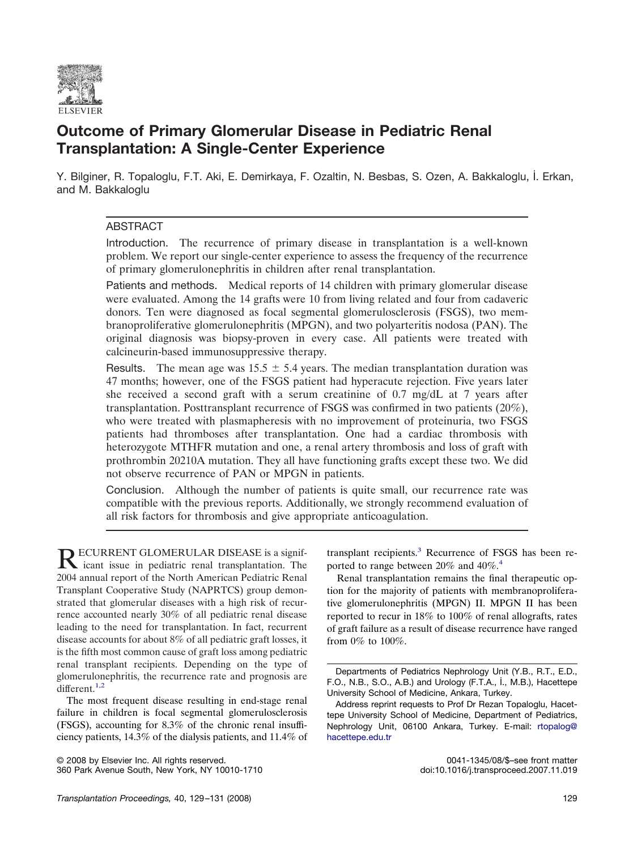

# **Outcome of Primary Glomerular Disease in Pediatric Renal Transplantation: A Single-Center Experience**

Y. Bilginer, R. Topaloglu, F.T. Aki, E. Demirkaya, F. Ozaltin, N. Besbas, S. Ozen, A. Bakkaloglu, İ. Erkan, and M. Bakkaloglu

## ABSTRACT

Introduction. The recurrence of primary disease in transplantation is a well-known problem. We report our single-center experience to assess the frequency of the recurrence of primary glomerulonephritis in children after renal transplantation.

Patients and methods. Medical reports of 14 children with primary glomerular disease were evaluated. Among the 14 grafts were 10 from living related and four from cadaveric donors. Ten were diagnosed as focal segmental glomerulosclerosis (FSGS), two membranoproliferative glomerulonephritis (MPGN), and two polyarteritis nodosa (PAN). The original diagnosis was biopsy-proven in every case. All patients were treated with calcineurin-based immunosuppressive therapy.

Results. The mean age was  $15.5 \pm 5.4$  years. The median transplantation duration was 47 months; however, one of the FSGS patient had hyperacute rejection. Five years later she received a second graft with a serum creatinine of 0.7 mg/dL at 7 years after transplantation. Posttransplant recurrence of FSGS was confirmed in two patients (20%), who were treated with plasmapheresis with no improvement of proteinuria, two FSGS patients had thromboses after transplantation. One had a cardiac thrombosis with heterozygote MTHFR mutation and one, a renal artery thrombosis and loss of graft with prothrombin 20210A mutation. They all have functioning grafts except these two. We did not observe recurrence of PAN or MPGN in patients.

Conclusion. Although the number of patients is quite small, our recurrence rate was compatible with the previous reports. Additionally, we strongly recommend evaluation of all risk factors for thrombosis and give appropriate anticoagulation.

RECURRENT GLOMERULAR DISEASE is a signifi-<br>icant issue in pediatric renal transplantation. The 2004 annual report of the North American Pediatric Renal Transplant Cooperative Study (NAPRTCS) group demonstrated that glomerular diseases with a high risk of recurrence accounted nearly 30% of all pediatric renal disease leading to the need for transplantation. In fact, recurrent disease accounts for about 8% of all pediatric graft losses, it is the fifth most common cause of graft loss among pediatric renal transplant recipients. Depending on the type of glomerulonephritis, the recurrence rate and prognosis are different.<sup>1,2</sup>

The most frequent disease resulting in end-stage renal failure in children is focal segmental glomerulosclerosis (FSGS), accounting for 8.3% of the chronic renal insufficiency patients, 14.3% of the dialysis patients, and 11.4% of

© 2008 by Elsevier Inc. All rights reserved. 0041-1345/08/\$–see front matter 360 Park Avenue South, New York, NY 10010-1710

transplant recipients. [3](#page-2-0) Recurrence of FSGS has been re-ported to range between 20% and [4](#page-2-0)0%.<sup>4</sup>

Renal transplantation remains the final therapeutic option for the majority of patients with membranoproliferative glomerulonephritis (MPGN) II. MPGN II has been reported to recur in 18% to 100% of renal allografts, rates of graft failure as a result of disease recurrence have ranged from 0% to 100%.

Departments of Pediatrics Nephrology Unit (Y.B., R.T., E.D., F.O., N.B., S.O., A.B.) and Urology (F.T.A., İ., M.B.), Hacettepe University School of Medicine, Ankara, Turkey.

Address reprint requests to Prof Dr Rezan Topaloglu, Hacettepe University School of Medicine, Department of Pediatrics, Nephrology Unit, 06100 Ankara, Turkey. E-mail: [rtopalog@](rtopalog@hacettepe.edu.tr) [hacettepe.edu.tr](rtopalog@hacettepe.edu.tr)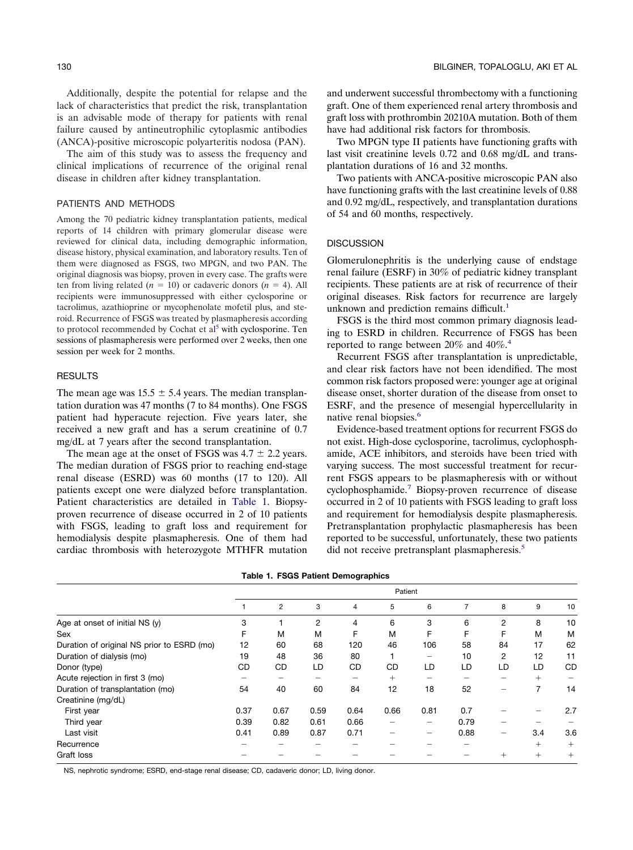Additionally, despite the potential for relapse and the lack of characteristics that predict the risk, transplantation is an advisable mode of therapy for patients with renal failure caused by antineutrophilic cytoplasmic antibodies (ANCA)-positive microscopic polyarteritis nodosa (PAN).

The aim of this study was to assess the frequency and clinical implications of recurrence of the original renal disease in children after kidney transplantation.

### PATIENTS AND METHODS

Among the 70 pediatric kidney transplantation patients, medical reports of 14 children with primary glomerular disease were reviewed for clinical data, including demographic information, disease history, physical examination, and laboratory results. Ten of them were diagnosed as FSGS, two MPGN, and two PAN. The original diagnosis was biopsy, proven in every case. The grafts were ten from living related  $(n = 10)$  or cadaveric donors  $(n = 4)$ . All recipients were immunosuppressed with either cyclosporine or tacrolimus, azathioprine or mycophenolate mofetil plus, and steroid. Recurrence of FSGS was treated by plasmapheresis according to protocol recommended by Cochat et al<sup>[5](#page-2-0)</sup> with cyclosporine. Ten sessions of plasmapheresis were performed over 2 weeks, then one session per week for 2 months.

#### **RESULTS**

The mean age was  $15.5 \pm 5.4$  years. The median transplantation duration was 47 months (7 to 84 months). One FSGS patient had hyperacute rejection. Five years later, she received a new graft and has a serum creatinine of 0.7 mg/dL at 7 years after the second transplantation.

The mean age at the onset of FSGS was  $4.7 \pm 2.2$  years. The median duration of FSGS prior to reaching end-stage renal disease (ESRD) was 60 months (17 to 120). All patients except one were dialyzed before transplantation. Patient characteristics are detailed in Table 1. Biopsyproven recurrence of disease occurred in 2 of 10 patients with FSGS, leading to graft loss and requirement for hemodialysis despite plasmapheresis. One of them had cardiac thrombosis with heterozygote MTHFR mutation and underwent successful thrombectomy with a functioning graft. One of them experienced renal artery thrombosis and graft loss with prothrombin 20210A mutation. Both of them have had additional risk factors for thrombosis.

Two MPGN type II patients have functioning grafts with last visit creatinine levels 0.72 and 0.68 mg/dL and transplantation durations of 16 and 32 months.

Two patients with ANCA-positive microscopic PAN also have functioning grafts with the last creatinine levels of 0.88 and 0.92 mg/dL, respectively, and transplantation durations of 54 and 60 months, respectively.

#### **DISCUSSION**

Glomerulonephritis is the underlying cause of endstage renal failure (ESRF) in 30% of pediatric kidney transplant recipients. These patients are at risk of recurrence of their original diseases. Risk factors for recurrence are largely unknown and prediction remains difficult.<sup>[1](#page-2-0)</sup>

FSGS is the third most common primary diagnosis leading to ESRD in children. Recurrence of FSGS has been reported to range between 20% and 40%.<sup>4</sup>

Recurrent FSGS after transplantation is unpredictable, and clear risk factors have not been idendified. The most common risk factors proposed were: younger age at original disease onset, shorter duration of the disease from onset to ESRF, and the presence of mesengial hypercellularity in native renal biopsies.<sup>6</sup>

Evidence-based treatment options for recurrent FSGS do not exist. High-dose cyclosporine, tacrolimus, cyclophosphamide, ACE inhibitors, and steroids have been tried with varying success. The most successful treatment for recurrent FSGS appears to be plasmapheresis with or without cyclophosphamide[.7](#page-2-0) Biopsy-proven recurrence of disease occurred in 2 of 10 patients with FSGS leading to graft loss and requirement for hemodialysis despite plasmapheresis. Pretransplantation prophylactic plasmapheresis has been reported to be successful, unfortunately, these two patients did not receive pretransplant plasmapheresis. [5](#page-2-0)

|                                            | Table 1. FSGS Patient Demographics |      |      |      |           |      |      |                |        |        |
|--------------------------------------------|------------------------------------|------|------|------|-----------|------|------|----------------|--------|--------|
|                                            | Patient                            |      |      |      |           |      |      |                |        |        |
|                                            |                                    | 2    | 3    | 4    | 5         | 6    | 7    | 8              | 9      | 10     |
| Age at onset of initial NS $(v)$           | 3                                  |      | 2    | 4    | 6         | 3    | 6    | 2              | 8      | 10     |
| Sex                                        |                                    | M    | м    | F    | M         | F    | F    | F              | M      | м      |
| Duration of original NS prior to ESRD (mo) | 12                                 | 60   | 68   | 120  | 46        | 106  | 58   | 84             | 17     | 62     |
| Duration of dialysis (mo)                  | 19                                 | 48   | 36   | 80   |           |      | 10   | $\overline{2}$ | 12     | 11     |
| Donor (type)                               | CD                                 | CD   | LD   | CD   | <b>CD</b> | LD   | LD   | LD             | LD     | CD     |
| Acute rejection in first 3 (mo)            |                                    |      |      |      | $+$       |      |      |                | $+$    |        |
| Duration of transplantation (mo)           | 54                                 | 40   | 60   | 84   | 12        | 18   | 52   |                | 7      | 14     |
| Creatinine (mg/dL)                         |                                    |      |      |      |           |      |      |                |        |        |
| First year                                 | 0.37                               | 0.67 | 0.59 | 0.64 | 0.66      | 0.81 | 0.7  |                |        | 2.7    |
| Third year                                 | 0.39                               | 0.82 | 0.61 | 0.66 |           |      | 0.79 |                |        |        |
| Last visit                                 | 0.41                               | 0.89 | 0.87 | 0.71 |           | —    | 0.88 | -              | 3.4    | 3.6    |
| Recurrence                                 |                                    |      |      |      |           |      |      |                | $^{+}$ | $+$    |
| Graft loss                                 |                                    |      |      |      |           |      |      | $^{+}$         | $+$    | $^{+}$ |

**Table 1. FSGS Patient Demographics**

NS, nephrotic syndrome; ESRD, end-stage renal disease; CD, cadaveric donor; LD, living donor.